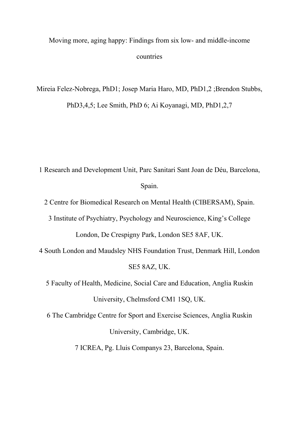Moving more, aging happy: Findings from six low- and middle-income countries

Mireia Felez-Nobrega, PhD1; Josep Maria Haro, MD, PhD1,2 ;Brendon Stubbs, PhD3,4,5; Lee Smith, PhD 6; Ai Koyanagi, MD, PhD1,2,7

1 Research and Development Unit, Parc Sanitari Sant Joan de Déu, Barcelona, Spain.

2 Centre for Biomedical Research on Mental Health (CIBERSAM), Spain.

3 Institute of Psychiatry, Psychology and Neuroscience, King's College

London, De Crespigny Park, London SE5 8AF, UK.

4 South London and Maudsley NHS Foundation Trust, Denmark Hill, London SE5 8AZ, UK.

5 Faculty of Health, Medicine, Social Care and Education, Anglia Ruskin University, Chelmsford CM1 1SQ, UK.

6 The Cambridge Centre for Sport and Exercise Sciences, Anglia Ruskin

University, Cambridge, UK.

7 ICREA, Pg. Lluis Companys 23, Barcelona, Spain.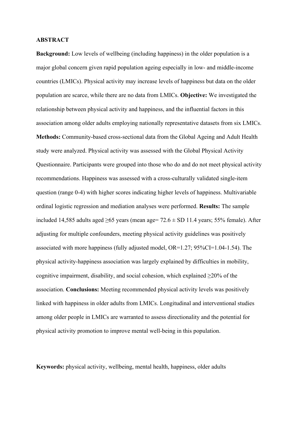### **ABSTRACT**

**Background:** Low levels of wellbeing (including happiness) in the older population is a major global concern given rapid population ageing especially in low- and middle-income countries (LMICs). Physical activity may increase levels of happiness but data on the older population are scarce, while there are no data from LMICs. **Objective:** We investigated the relationship between physical activity and happiness, and the influential factors in this association among older adults employing nationally representative datasets from six LMICs. **Methods:** Community-based cross-sectional data from the Global Ageing and Adult Health study were analyzed. Physical activity was assessed with the Global Physical Activity Questionnaire. Participants were grouped into those who do and do not meet physical activity recommendations. Happiness was assessed with a cross-culturally validated single-item question (range 0-4) with higher scores indicating higher levels of happiness. Multivariable ordinal logistic regression and mediation analyses were performed. **Results:** The sample included 14,585 adults aged  $\geq 65$  years (mean age= 72.6  $\pm$  SD 11.4 years; 55% female). After adjusting for multiple confounders, meeting physical activity guidelines was positively associated with more happiness (fully adjusted model, OR=1.27; 95%CI=1.04-1.54). The physical activity-happiness association was largely explained by difficulties in mobility, cognitive impairment, disability, and social cohesion, which explained  $\geq$ 20% of the association. **Conclusions:** Meeting recommended physical activity levels was positively linked with happiness in older adults from LMICs. Longitudinal and interventional studies among older people in LMICs are warranted to assess directionality and the potential for physical activity promotion to improve mental well-being in this population.

**Keywords:** physical activity, wellbeing, mental health, happiness, older adults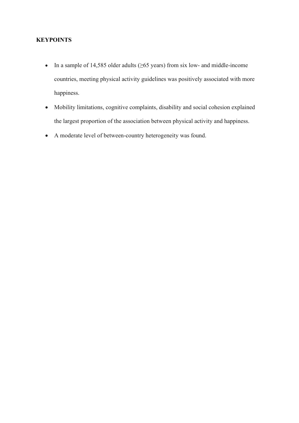# **KEYPOINTS**

- In a sample of 14,585 older adults ( $\geq 65$  years) from six low- and middle-income countries, meeting physical activity guidelines was positively associated with more happiness.
- Mobility limitations, cognitive complaints, disability and social cohesion explained the largest proportion of the association between physical activity and happiness.
- A moderate level of between-country heterogeneity was found.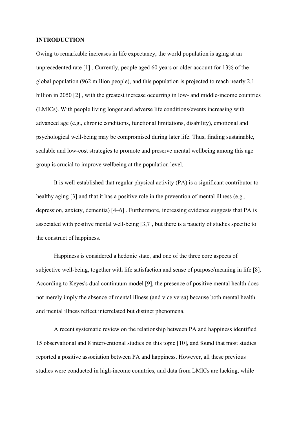### **INTRODUCTION**

Owing to remarkable increases in life expectancy, the world population is aging at an unprecedented rate [1] . Currently, people aged 60 years or older account for 13% of the global population (962 million people), and this population is projected to reach nearly 2.1 billion in 2050 [2], with the greatest increase occurring in low- and middle-income countries (LMICs). With people living longer and adverse life conditions/events increasing with advanced age (e.g., chronic conditions, functional limitations, disability), emotional and psychological well-being may be compromised during later life. Thus, finding sustainable, scalable and low-cost strategies to promote and preserve mental wellbeing among this age group is crucial to improve wellbeing at the population level.

It is well-established that regular physical activity (PA) is a significant contributor to healthy aging [3] and that it has a positive role in the prevention of mental illness (e.g., depression, anxiety, dementia) [4–6] . Furthermore, increasing evidence suggests that PA is associated with positive mental well-being [3,7], but there is a paucity of studies specific to the construct of happiness.

Happiness is considered a hedonic state, and one of the three core aspects of subjective well-being, together with life satisfaction and sense of purpose/meaning in life [8]. According to Keyes's dual continuum model [9], the presence of positive mental health does not merely imply the absence of mental illness (and vice versa) because both mental health and mental illness reflect interrelated but distinct phenomena.

A recent systematic review on the relationship between PA and happiness identified 15 observational and 8 interventional studies on this topic [10], and found that most studies reported a positive association between PA and happiness. However, all these previous studies were conducted in high-income countries, and data from LMICs are lacking, while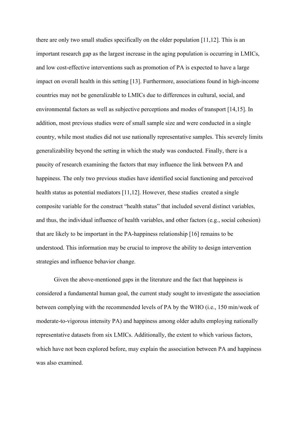there are only two small studies specifically on the older population [11,12]. This is an important research gap as the largest increase in the aging population is occurring in LMICs, and low cost-effective interventions such as promotion of PA is expected to have a large impact on overall health in this setting [13]. Furthermore, associations found in high-income countries may not be generalizable to LMICs due to differences in cultural, social, and environmental factors as well as subjective perceptions and modes of transport [14,15]. In addition, most previous studies were of small sample size and were conducted in a single country, while most studies did not use nationally representative samples. This severely limits generalizability beyond the setting in which the study was conducted. Finally, there is a paucity of research examining the factors that may influence the link between PA and happiness. The only two previous studies have identified social functioning and perceived health status as potential mediators [11,12]. However, these studies created a single composite variable for the construct "health status" that included several distinct variables, and thus, the individual influence of health variables, and other factors (e.g., social cohesion) that are likely to be important in the PA-happiness relationship [16] remains to be understood. This information may be crucial to improve the ability to design intervention strategies and influence behavior change.

Given the above-mentioned gaps in the literature and the fact that happiness is considered a fundamental human goal, the current study sought to investigate the association between complying with the recommended levels of PA by the WHO (i.e., 150 min/week of moderate-to-vigorous intensity PA) and happiness among older adults employing nationally representative datasets from six LMICs. Additionally, the extent to which various factors, which have not been explored before, may explain the association between PA and happiness was also examined.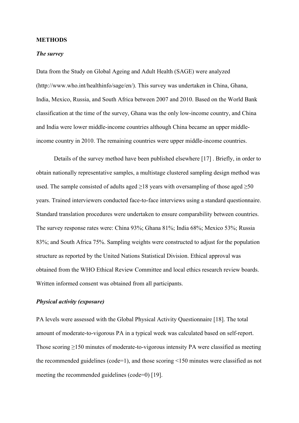#### **METHODS**

### *The survey*

Data from the Study on Global Ageing and Adult Health (SAGE) were analyzed (http://www.who.int/healthinfo/sage/en/). This survey was undertaken in China, Ghana, India, Mexico, Russia, and South Africa between 2007 and 2010. Based on the World Bank classification at the time of the survey, Ghana was the only low-income country, and China and India were lower middle-income countries although China became an upper middleincome country in 2010. The remaining countries were upper middle-income countries.

Details of the survey method have been published elsewhere [17] . Briefly, in order to obtain nationally representative samples, a multistage clustered sampling design method was used. The sample consisted of adults aged  $\geq$ 18 years with oversampling of those aged  $\geq$ 50 years. Trained interviewers conducted face-to-face interviews using a standard questionnaire. Standard translation procedures were undertaken to ensure comparability between countries. The survey response rates were: China 93%; Ghana 81%; India 68%; Mexico 53%; Russia 83%; and South Africa 75%. Sampling weights were constructed to adjust for the population structure as reported by the United Nations Statistical Division. Ethical approval was obtained from the WHO Ethical Review Committee and local ethics research review boards. Written informed consent was obtained from all participants.

# *Physical activity (exposure)*

PA levels were assessed with the Global Physical Activity Questionnaire [18]. The total amount of moderate-to-vigorous PA in a typical week was calculated based on self-report. Those scoring  $\geq$ 150 minutes of moderate-to-vigorous intensity PA were classified as meeting the recommended guidelines (code=1), and those scoring <150 minutes were classified as not meeting the recommended guidelines (code=0) [19].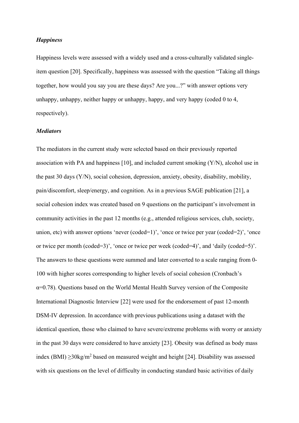# *Happiness*

Happiness levels were assessed with a widely used and a cross-culturally validated singleitem question [20]. Specifically, happiness was assessed with the question "Taking all things together, how would you say you are these days? Are you...?" with answer options very unhappy, unhappy, neither happy or unhappy, happy, and very happy (coded 0 to 4, respectively).

### *Mediators*

The mediators in the current study were selected based on their previously reported association with PA and happiness [10], and included current smoking (Y/N), alcohol use in the past 30 days (Y/N), social cohesion, depression, anxiety, obesity, disability, mobility, pain/discomfort, sleep/energy, and cognition. As in a previous SAGE publication [21], a social cohesion index was created based on 9 questions on the participant's involvement in community activities in the past 12 months (e.g., attended religious services, club, society, union, etc) with answer options 'never (coded=1)', 'once or twice per year (coded=2)', 'once or twice per month (coded=3)', 'once or twice per week (coded=4)', and 'daily (coded=5)'. The answers to these questions were summed and later converted to a scale ranging from 0- 100 with higher scores corresponding to higher levels of social cohesion (Cronbach's  $\alpha$ =0.78). Questions based on the World Mental Health Survey version of the Composite International Diagnostic Interview [22] were used for the endorsement of past 12-month DSM-IV depression. In accordance with previous publications using a dataset with the identical question, those who claimed to have severe/extreme problems with worry or anxiety in the past 30 days were considered to have anxiety [23]. Obesity was defined as body mass index (BMI)  $\geq$ 30kg/m<sup>2</sup> based on measured weight and height [24]. Disability was assessed with six questions on the level of difficulty in conducting standard basic activities of daily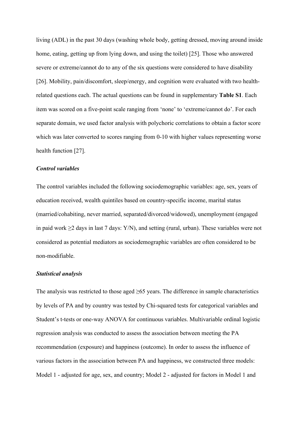living (ADL) in the past 30 days (washing whole body, getting dressed, moving around inside home, eating, getting up from lying down, and using the toilet) [25]. Those who answered severe or extreme/cannot do to any of the six questions were considered to have disability [26]. Mobility, pain/discomfort, sleep/energy, and cognition were evaluated with two healthrelated questions each. The actual questions can be found in supplementary **Table S1**. Each item was scored on a five-point scale ranging from 'none' to 'extreme/cannot do'. For each separate domain, we used factor analysis with polychoric correlations to obtain a factor score which was later converted to scores ranging from 0-10 with higher values representing worse health function [27].

### *Control variables*

The control variables included the following sociodemographic variables: age, sex, years of education received, wealth quintiles based on country-specific income, marital status (married/cohabiting, never married, separated/divorced/widowed), unemployment (engaged in paid work ≥2 days in last 7 days: Y/N), and setting (rural, urban). These variables were not considered as potential mediators as sociodemographic variables are often considered to be non-modifiable.

### *Statistical analysis*

The analysis was restricted to those aged  $\geq 65$  years. The difference in sample characteristics by levels of PA and by country was tested by Chi-squared tests for categorical variables and Student's t-tests or one-way ANOVA for continuous variables. Multivariable ordinal logistic regression analysis was conducted to assess the association between meeting the PA recommendation (exposure) and happiness (outcome). In order to assess the influence of various factors in the association between PA and happiness, we constructed three models: Model 1 - adjusted for age, sex, and country; Model 2 - adjusted for factors in Model 1 and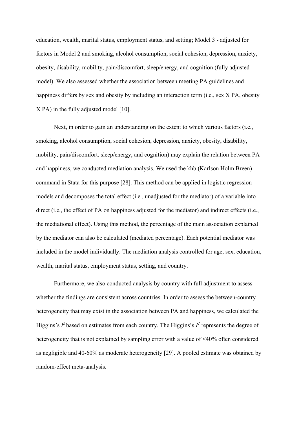education, wealth, marital status, employment status, and setting; Model 3 - adjusted for factors in Model 2 and smoking, alcohol consumption, social cohesion, depression, anxiety, obesity, disability, mobility, pain/discomfort, sleep/energy, and cognition (fully adjusted model). We also assessed whether the association between meeting PA guidelines and happiness differs by sex and obesity by including an interaction term (i.e., sex X PA, obesity X PA) in the fully adjusted model [10].

Next, in order to gain an understanding on the extent to which various factors (i.e., smoking, alcohol consumption, social cohesion, depression, anxiety, obesity, disability, mobility, pain/discomfort, sleep/energy, and cognition) may explain the relation between PA and happiness, we conducted mediation analysis. We used the khb (Karlson Holm Breen) command in Stata for this purpose [28]. This method can be applied in logistic regression models and decomposes the total effect (i.e., unadjusted for the mediator) of a variable into direct (i.e., the effect of PA on happiness adjusted for the mediator) and indirect effects (i.e., the mediational effect). Using this method, the percentage of the main association explained by the mediator can also be calculated (mediated percentage). Each potential mediator was included in the model individually. The mediation analysis controlled for age, sex, education, wealth, marital status, employment status, setting, and country.

Furthermore, we also conducted analysis by country with full adjustment to assess whether the findings are consistent across countries. In order to assess the between-country heterogeneity that may exist in the association between PA and happiness, we calculated the Higgins's  $I^2$  based on estimates from each country. The Higgins's  $I^2$  represents the degree of heterogeneity that is not explained by sampling error with a value of <40% often considered as negligible and 40-60% as moderate heterogeneity [29]. A pooled estimate was obtained by random-effect meta-analysis.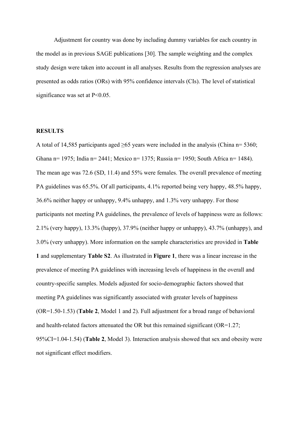Adjustment for country was done by including dummy variables for each country in the model as in previous SAGE publications [30]. The sample weighting and the complex study design were taken into account in all analyses. Results from the regression analyses are presented as odds ratios (ORs) with 95% confidence intervals (CIs). The level of statistical significance was set at P<0.05.

### **RESULTS**

A total of 14,585 participants aged  $\geq 65$  years were included in the analysis (China n= 5360; Ghana n= 1975; India n= 2441; Mexico n= 1375; Russia n= 1950; South Africa n= 1484). The mean age was 72.6 (SD, 11.4) and 55% were females. The overall prevalence of meeting PA guidelines was 65.5%. Of all participants, 4.1% reported being very happy, 48.5% happy, 36.6% neither happy or unhappy, 9.4% unhappy, and 1.3% very unhappy. For those participants not meeting PA guidelines, the prevalence of levels of happiness were as follows:  $2.1\%$  (very happy),  $13.3\%$  (happy),  $37.9\%$  (neither happy or unhappy),  $43.7\%$  (unhappy), and 3.0% (very unhappy). More information on the sample characteristics are provided in **Table 1** and supplementary **Table S2**. As illustrated in **Figure 1**, there was a linear increase in the prevalence of meeting PA guidelines with increasing levels of happiness in the overall and country-specific samples. Models adjusted for socio-demographic factors showed that meeting PA guidelines was significantly associated with greater levels of happiness (OR=1.50-1.53) (**Table 2**, Model 1 and 2). Full adjustment for a broad range of behavioral and health-related factors attenuated the OR but this remained significant ( $OR=1.27$ ; 95%CI=1.04-1.54) (**Table 2**, Model 3). Interaction analysis showed that sex and obesity were not significant effect modifiers.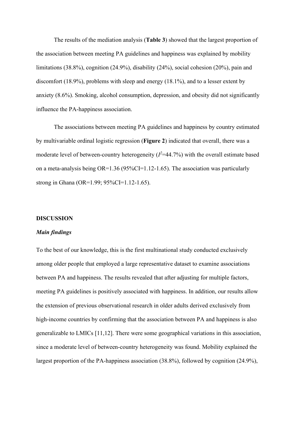The results of the mediation analysis (**Table 3**) showed that the largest proportion of the association between meeting PA guidelines and happiness was explained by mobility limitations (38.8%), cognition (24.9%), disability (24%), social cohesion (20%), pain and discomfort (18.9%), problems with sleep and energy (18.1%), and to a lesser extent by anxiety (8.6%). Smoking, alcohol consumption, depression, and obesity did not significantly influence the PA-happiness association.

The associations between meeting PA guidelines and happiness by country estimated by multivariable ordinal logistic regression (**Figure 2**) indicated that overall, there was a moderate level of between-country heterogeneity  $(I^2=44.7\%)$  with the overall estimate based on a meta-analysis being OR=1.36 (95%CI=1.12-1.65). The association was particularly strong in Ghana (OR=1.99; 95%CI=1.12-1.65).

#### **DISCUSSION**

#### *Main findings*

To the best of our knowledge, this is the first multinational study conducted exclusively among older people that employed a large representative dataset to examine associations between PA and happiness. The results revealed that after adjusting for multiple factors, meeting PA guidelines is positively associated with happiness. In addition, our results allow the extension of previous observational research in older adults derived exclusively from high-income countries by confirming that the association between PA and happiness is also generalizable to LMICs [11,12]. There were some geographical variations in this association, since a moderate level of between-country heterogeneity was found. Mobility explained the largest proportion of the PA-happiness association (38.8%), followed by cognition (24.9%),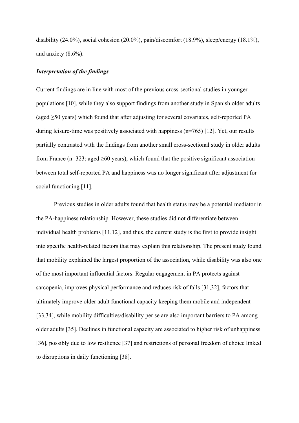disability (24.0%), social cohesion (20.0%), pain/discomfort (18.9%), sleep/energy (18.1%), and anxiety (8.6%).

# *Interpretation of the findings*

Current findings are in line with most of the previous cross-sectional studies in younger populations [10], while they also support findings from another study in Spanish older adults (aged  $\geq$ 50 years) which found that after adjusting for several covariates, self-reported PA during leisure-time was positively associated with happiness  $(n=765)$  [12]. Yet, our results partially contrasted with the findings from another small cross-sectional study in older adults from France (n=323; aged  $\geq 60$  years), which found that the positive significant association between total self-reported PA and happiness was no longer significant after adjustment for social functioning [11].

Previous studies in older adults found that health status may be a potential mediator in the PA-happiness relationship. However, these studies did not differentiate between individual health problems [11,12], and thus, the current study is the first to provide insight into specific health-related factors that may explain this relationship. The present study found that mobility explained the largest proportion of the association, while disability was also one of the most important influential factors. Regular engagement in PA protects against sarcopenia, improves physical performance and reduces risk of falls [31,32], factors that ultimately improve older adult functional capacity keeping them mobile and independent [33,34], while mobility difficulties/disability per se are also important barriers to PA among older adults [35]. Declines in functional capacity are associated to higher risk of unhappiness [36], possibly due to low resilience [37] and restrictions of personal freedom of choice linked to disruptions in daily functioning [38].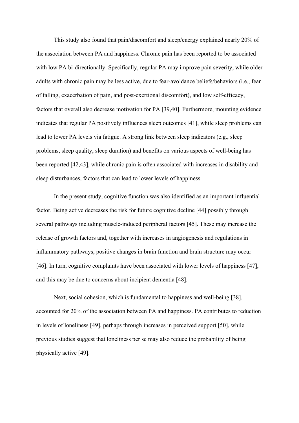This study also found that pain/discomfort and sleep/energy explained nearly 20% of the association between PA and happiness. Chronic pain has been reported to be associated with low PA bi-directionally. Specifically, regular PA may improve pain severity, while older adults with chronic pain may be less active, due to fear-avoidance beliefs/behaviors (i.e., fear of falling, exacerbation of pain, and post-exertional discomfort), and low self-efficacy, factors that overall also decrease motivation for PA [39,40]. Furthermore, mounting evidence indicates that regular PA positively influences sleep outcomes [41], while sleep problems can lead to lower PA levels via fatigue. A strong link between sleep indicators (e.g., sleep problems, sleep quality, sleep duration) and benefits on various aspects of well-being has been reported [42,43], while chronic pain is often associated with increases in disability and sleep disturbances, factors that can lead to lower levels of happiness.

In the present study, cognitive function was also identified as an important influential factor. Being active decreases the risk for future cognitive decline [44] possibly through several pathways including muscle-induced peripheral factors [45]. These may increase the release of growth factors and, together with increases in angiogenesis and regulations in inflammatory pathways, positive changes in brain function and brain structure may occur [46]. In turn, cognitive complaints have been associated with lower levels of happiness [47], and this may be due to concerns about incipient dementia [48].

Next, social cohesion, which is fundamental to happiness and well-being [38], accounted for 20% of the association between PA and happiness. PA contributes to reduction in levels of loneliness [49], perhaps through increases in perceived support [50], while previous studies suggest that loneliness per se may also reduce the probability of being physically active [49].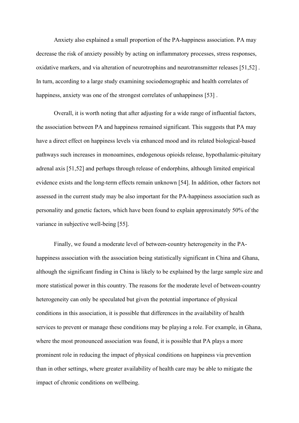Anxiety also explained a small proportion of the PA-happiness association. PA may decrease the risk of anxiety possibly by acting on inflammatory processes, stress responses, oxidative markers, and via alteration of neurotrophins and neurotransmitter releases [51,52] . In turn, according to a large study examining sociodemographic and health correlates of happiness, anxiety was one of the strongest correlates of unhappiness [53].

Overall, it is worth noting that after adjusting for a wide range of influential factors, the association between PA and happiness remained significant. This suggests that PA may have a direct effect on happiness levels via enhanced mood and its related biological-based pathways such increases in monoamines, endogenous opioids release, hypothalamic-pituitary adrenal axis [51,52] and perhaps through release of endorphins, although limited empirical evidence exists and the long-term effects remain unknown [54]. In addition, other factors not assessed in the current study may be also important for the PA-happiness association such as personality and genetic factors, which have been found to explain approximately 50% of the variance in subjective well-being [55].

Finally, we found a moderate level of between-country heterogeneity in the PAhappiness association with the association being statistically significant in China and Ghana, although the significant finding in China is likely to be explained by the large sample size and more statistical power in this country. The reasons for the moderate level of between-country heterogeneity can only be speculated but given the potential importance of physical conditions in this association, it is possible that differences in the availability of health services to prevent or manage these conditions may be playing a role. For example, in Ghana, where the most pronounced association was found, it is possible that PA plays a more prominent role in reducing the impact of physical conditions on happiness via prevention than in other settings, where greater availability of health care may be able to mitigate the impact of chronic conditions on wellbeing.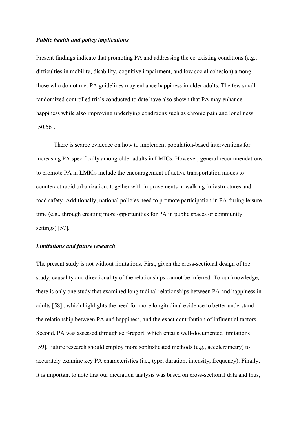## *Public health and policy implications*

Present findings indicate that promoting PA and addressing the co-existing conditions (e.g., difficulties in mobility, disability, cognitive impairment, and low social cohesion) among those who do not met PA guidelines may enhance happiness in older adults. The few small randomized controlled trials conducted to date have also shown that PA may enhance happiness while also improving underlying conditions such as chronic pain and loneliness [50,56].

There is scarce evidence on how to implement population-based interventions for increasing PA specifically among older adults in LMICs. However, general recommendations to promote PA in LMICs include the encouragement of active transportation modes to counteract rapid urbanization, together with improvements in walking infrastructures and road safety. Additionally, national policies need to promote participation in PA during leisure time (e.g., through creating more opportunities for PA in public spaces or community settings) [57].

# *Limitations and future research*

The present study is not without limitations. First, given the cross-sectional design of the study, causality and directionality of the relationships cannot be inferred. To our knowledge, there is only one study that examined longitudinal relationships between PA and happiness in adults [58] , which highlights the need for more longitudinal evidence to better understand the relationship between PA and happiness, and the exact contribution of influential factors. Second, PA was assessed through self-report, which entails well-documented limitations [59]. Future research should employ more sophisticated methods (e.g., accelerometry) to accurately examine key PA characteristics (i.e., type, duration, intensity, frequency). Finally, it is important to note that our mediation analysis was based on cross-sectional data and thus,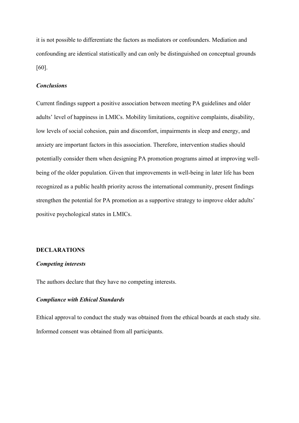it is not possible to differentiate the factors as mediators or confounders. Mediation and confounding are identical statistically and can only be distinguished on conceptual grounds [60].

# *Conclusions*

Current findings support a positive association between meeting PA guidelines and older adults' level of happiness in LMICs. Mobility limitations, cognitive complaints, disability, low levels of social cohesion, pain and discomfort, impairments in sleep and energy, and anxiety are important factors in this association. Therefore, intervention studies should potentially consider them when designing PA promotion programs aimed at improving wellbeing of the older population. Given that improvements in well-being in later life has been recognized as a public health priority across the international community, present findings strengthen the potential for PA promotion as a supportive strategy to improve older adults' positive psychological states in LMICs.

# **DECLARATIONS**

### *Competing interests*

The authors declare that they have no competing interests.

# *Compliance with Ethical Standards*

Ethical approval to conduct the study was obtained from the ethical boards at each study site. Informed consent was obtained from all participants.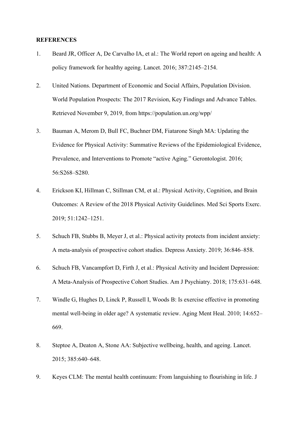### **REFERENCES**

- 1. Beard JR, Officer A, De Carvalho IA, et al.: The World report on ageing and health: A policy framework for healthy ageing. Lancet. 2016; 387:2145–2154.
- 2. United Nations. Department of Economic and Social Affairs, Population Division. World Population Prospects: The 2017 Revision, Key Findings and Advance Tables. Retrieved November 9, 2019, from https://population.un.org/wpp/
- 3. Bauman A, Merom D, Bull FC, Buchner DM, Fiatarone Singh MA: Updating the Evidence for Physical Activity: Summative Reviews of the Epidemiological Evidence, Prevalence, and Interventions to Promote "active Aging." Gerontologist. 2016; 56:S268–S280.
- 4. Erickson KI, Hillman C, Stillman CM, et al.: Physical Activity, Cognition, and Brain Outcomes: A Review of the 2018 Physical Activity Guidelines. Med Sci Sports Exerc. 2019; 51:1242–1251.
- 5. Schuch FB, Stubbs B, Meyer J, et al.: Physical activity protects from incident anxiety: A meta‐analysis of prospective cohort studies. Depress Anxiety. 2019; 36:846–858.
- 6. Schuch FB, Vancampfort D, Firth J, et al.: Physical Activity and Incident Depression: A Meta-Analysis of Prospective Cohort Studies. Am J Psychiatry. 2018; 175:631–648.
- 7. Windle G, Hughes D, Linck P, Russell I, Woods B: Is exercise effective in promoting mental well-being in older age? A systematic review. Aging Ment Heal. 2010; 14:652– 669.
- 8. Steptoe A, Deaton A, Stone AA: Subjective wellbeing, health, and ageing. Lancet. 2015; 385:640–648.
- 9. Keyes CLM: The mental health continuum: From languishing to flourishing in life. J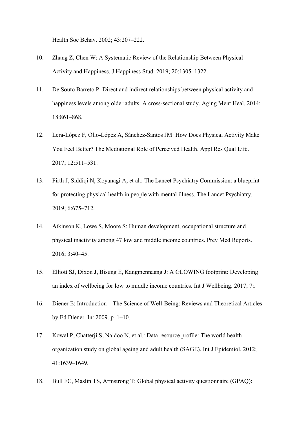Health Soc Behav. 2002; 43:207–222.

- 10. Zhang Z, Chen W: A Systematic Review of the Relationship Between Physical Activity and Happiness. J Happiness Stud. 2019; 20:1305–1322.
- 11. De Souto Barreto P: Direct and indirect relationships between physical activity and happiness levels among older adults: A cross-sectional study. Aging Ment Heal. 2014; 18:861–868.
- 12. Lera-López F, Ollo-López A, Sánchez-Santos JM: How Does Physical Activity Make You Feel Better? The Mediational Role of Perceived Health. Appl Res Qual Life. 2017; 12:511–531.
- 13. Firth J, Siddiqi N, Koyanagi A, et al.: The Lancet Psychiatry Commission: a blueprint for protecting physical health in people with mental illness. The Lancet Psychiatry. 2019; 6:675–712.
- 14. Atkinson K, Lowe S, Moore S: Human development, occupational structure and physical inactivity among 47 low and middle income countries. Prev Med Reports. 2016; 3:40–45.
- 15. Elliott SJ, Dixon J, Bisung E, Kangmennaang J: A GLOWING footprint: Developing an index of wellbeing for low to middle income countries. Int J Wellbeing. 2017; 7:.
- 16. Diener E: Introduction—The Science of Well-Being: Reviews and Theoretical Articles by Ed Diener. In: 2009. p. 1–10.
- 17. Kowal P, Chatterji S, Naidoo N, et al.: Data resource profile: The world health organization study on global ageing and adult health (SAGE). Int J Epidemiol. 2012; 41:1639–1649.
- 18. Bull FC, Maslin TS, Armstrong T: Global physical activity questionnaire (GPAQ):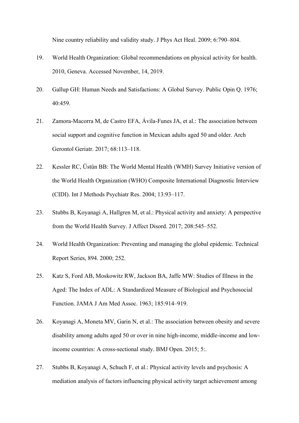Nine country reliability and validity study. J Phys Act Heal. 2009; 6:790–804.

- 19. World Health Organization: Global recommendations on physical activity for health. 2010, Geneva. Accessed November, 14, 2019.
- 20. Gallup GH: Human Needs and Satisfactions: A Global Survey. Public Opin Q. 1976; 40:459.
- 21. Zamora-Macorra M, de Castro EFA, Ávila-Funes JA, et al.: The association between social support and cognitive function in Mexican adults aged 50 and older. Arch Gerontol Geriatr. 2017; 68:113–118.
- 22. Kessler RC, Üstün BB: The World Mental Health (WMH) Survey Initiative version of the World Health Organization (WHO) Composite International Diagnostic Interview (CIDI). Int J Methods Psychiatr Res. 2004; 13:93–117.
- 23. Stubbs B, Koyanagi A, Hallgren M, et al.: Physical activity and anxiety: A perspective from the World Health Survey. J Affect Disord. 2017; 208:545–552.
- 24. World Health Organization: Preventing and managing the global epidemic. Technical Report Series, 894. 2000; 252.
- 25. Katz S, Ford AB, Moskowitz RW, Jackson BA, Jaffe MW: Studies of Illness in the Aged: The Index of ADL: A Standardized Measure of Biological and Psychosocial Function. JAMA J Am Med Assoc. 1963; 185:914–919.
- 26. Koyanagi A, Moneta MV, Garin N, et al.: The association between obesity and severe disability among adults aged 50 or over in nine high-income, middle-income and lowincome countries: A cross-sectional study. BMJ Open. 2015; 5:.
- 27. Stubbs B, Koyanagi A, Schuch F, et al.: Physical activity levels and psychosis: A mediation analysis of factors influencing physical activity target achievement among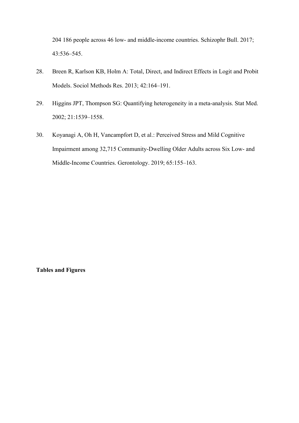204 186 people across 46 low- and middle-income countries. Schizophr Bull. 2017; 43:536–545.

- 28. Breen R, Karlson KB, Holm A: Total, Direct, and Indirect Effects in Logit and Probit Models. Sociol Methods Res. 2013; 42:164–191.
- 29. Higgins JPT, Thompson SG: Quantifying heterogeneity in a meta-analysis. Stat Med. 2002; 21:1539–1558.
- 30. Koyanagi A, Oh H, Vancampfort D, et al.: Perceived Stress and Mild Cognitive Impairment among 32,715 Community-Dwelling Older Adults across Six Low- and Middle-Income Countries. Gerontology. 2019; 65:155–163.

**Tables and Figures**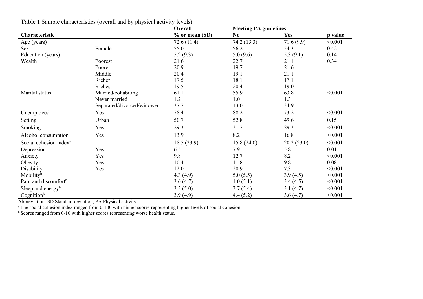| $\alpha$ and $\alpha$ built problems to the problems of $\alpha$ |                            | $\mu$ 1, $\mu$ and $\mu$ and $\mu$ and $\mu$ and $\mu$<br>Overall | <b>Meeting PA guidelines</b> |             |         |
|------------------------------------------------------------------|----------------------------|-------------------------------------------------------------------|------------------------------|-------------|---------|
| Characteristic                                                   |                            | $%$ or mean (SD)                                                  | No.                          | Yes         | p value |
| Age (years)                                                      |                            | 72.6(11.4)                                                        | 74.2 (13.3)                  | 71.6(9.9)   | < 0.001 |
| <b>Sex</b>                                                       | Female                     | 55.0                                                              | 56.2                         | 54.3        | 0.42    |
| Education (years)                                                |                            | 5.2(9.3)                                                          | 5.0(9.6)                     | 5.3 $(9.1)$ | 0.14    |
| Wealth                                                           | Poorest                    | 21.6                                                              | 22.7                         | 21.1        | 0.34    |
|                                                                  | Poorer                     | 20.9                                                              | 19.7                         | 21.6        |         |
|                                                                  | Middle                     | 20.4                                                              | 19.1                         | 21.1        |         |
|                                                                  | Richer                     | 17.5                                                              | 18.1                         | 17.1        |         |
|                                                                  | Richest                    | 19.5                                                              | 20.4                         | 19.0        |         |
| Marital status                                                   | Married/cohabiting         | 61.1                                                              | 55.9                         | 63.8        | < 0.001 |
|                                                                  | Never married              | 1.2                                                               | 1.0                          | 1.3         |         |
|                                                                  | Separated/divorced/widowed | 37.7                                                              | 43.0                         | 34.9        |         |
| Unemployed                                                       | Yes                        | 78.4                                                              | 88.2                         | 73.2        | < 0.001 |
| Setting                                                          | Urban                      | 50.7                                                              | 52.8                         | 49.6        | 0.15    |
| Smoking                                                          | Yes                        | 29.3                                                              | 31.7                         | 29.3        | < 0.001 |
| Alcohol consumption                                              | Yes                        | 13.9                                                              | 8.2                          | 16.8        | < 0.001 |
| Social cohesion index <sup>a</sup>                               |                            | 18.5(23.9)                                                        | 15.8(24.0)                   | 20.2(23.0)  | < 0.001 |
| Depression                                                       | Yes                        | 6.5                                                               | 7.9                          | 5.8         | 0.01    |
| Anxiety                                                          | Yes                        | 9.8                                                               | 12.7                         | 8.2         | < 0.001 |
| Obesity                                                          | Yes                        | 10.4                                                              | 11.8                         | 9.8         | 0.08    |
| Disability                                                       | Yes                        | 12.0                                                              | 20.9                         | 7.3         | < 0.001 |
| Mobility <sup>b</sup>                                            |                            | 4.3(4.9)                                                          | 5.0(5.5)                     | 3.9(4.5)    | < 0.001 |
| Pain and discomfort <sup>b</sup>                                 |                            | 3.6(4.7)                                                          | 4.0(5.1)                     | 3.4(4.5)    | < 0.001 |
| Sleep and energy <sup>b</sup>                                    |                            | 3.3(5.0)                                                          | 3.7(5.4)                     | 3.1(4.7)    | < 0.001 |
| Cognition <sup>b</sup>                                           |                            | 3.9(4.9)                                                          | 4.4(5.2)                     | 3.6(4.7)    | < 0.001 |

**Table 1** Sample characteristics (overall and by physical activity levels)

Abbreviation: SD Standard deviation; PA Physical activity

<sup>a</sup> The social cohesion index ranged from 0-100 with higher scores representing higher levels of social cohesion.

<sup>b</sup> Scores ranged from 0-10 with higher scores representing worse health status.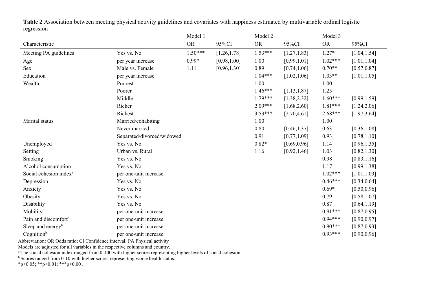|                                    |                            | Model 1   |              | Model 2   |              | Model 3   |              |
|------------------------------------|----------------------------|-----------|--------------|-----------|--------------|-----------|--------------|
| Characteristic                     |                            | <b>OR</b> | 95%CI        | <b>OR</b> | 95%CI        | <b>OR</b> | 95%CI        |
| Meeting PA guidelines              | Yes vs. No                 | $1.50***$ | [1.26, 1.78] | $1.53***$ | [1.27, 1.83] | $1.27*$   | [1.04, 1.54] |
| Age                                | per year increase          | $0.99*$   | [0.98, 1.00] | 1.00      | [0.99, 1.01] | $1.02***$ | [1.01, 1.04] |
| Sex                                | Male vs. Female            | 1.11      | [0.96, 1.30] | 0.89      | [0.74, 1.06] | $0.70**$  | [0.57, 0.87] |
| Education                          | per year increase          |           |              | $1.04***$ | [1.02, 1.06] | $1.03**$  | [1.01, 1.05] |
| Wealth                             | Poorest                    |           |              | 1.00      |              | 1.00      |              |
|                                    | Poorer                     |           |              | $1.46***$ | [1.13, 1.87] | 1.25      |              |
|                                    | Middle                     |           |              | $1.79***$ | [1.38, 2.32] | $1.60***$ | [0.99, 1.59] |
|                                    | Richer                     |           |              | $2.09***$ | [1.68, 2.60] | $1.81***$ | [1.24, 2.06] |
|                                    | Richest                    |           |              | $3.53***$ | [2.70, 4.61] | $2.68***$ | [1.97, 3.64] |
| Marital status                     | Married/cohabiting         |           |              | 1.00      |              | 1.00      |              |
|                                    | Never married              |           |              | 0.80      | [0.46, 1.37] | 0.63      | [0.36, 1.08] |
|                                    | Separated/divorced/widowed |           |              | 0.91      | [0.77, 1.09] | 0.93      | [0.78, 1.10] |
| Unemployed                         | Yes vs. No                 |           |              | $0.82*$   | [0.69, 0.96] | 1.14      | [0.96, 1.35] |
| Setting                            | Urban vs. Rural            |           |              | 1.16      | [0.92, 1.46] | 1.03      | [0.82, 1.30] |
| Smoking                            | Yes vs. No                 |           |              |           |              | 0.98      | [0.83, 1.16] |
| Alcohol consumption                | Yes vs. No                 |           |              |           |              | 1.17      | [0.99, 1.38] |
| Social cohesion index <sup>a</sup> | per one-unit increase      |           |              |           |              | $1.02***$ | [1.01, 1.03] |
| Depression                         | Yes vs. No                 |           |              |           |              | $0.46***$ | [0.34, 0.64] |
| Anxiety                            | Yes vs. No                 |           |              |           |              | $0.69*$   | [0.50, 0.96] |
| Obesity                            | Yes vs. No                 |           |              |           |              | 0.79      | [0.58, 1.07] |
| Disability                         | Yes vs. No                 |           |              |           |              | 0.87      | [0.64, 1.19] |
| Mobility <sup>b</sup>              | per one-unit increase      |           |              |           |              | $0.91***$ | [0.87, 0.95] |
| Pain and discomfort <sup>b</sup>   | per one-unit increase      |           |              |           |              | $0.94***$ | [0.90, 0.97] |
| Sleep and energy <sup>b</sup>      | per one-unit increase      |           |              |           |              | $0.90***$ | [0.87, 0.93] |
| Cognition <sup>b</sup>             | per one-unit increase      |           |              |           |              | $0.93***$ | [0.90, 0.96] |

**Table 2** Association between meeting physical activity guidelines and covariates with happiness estimated by multivariable ordinal logistic regression

Abbreviation: OR Odds ratio; CI Confidence interval; PA Physical activity

Models are adjusted for all variables in the respective columns and country.

<sup>a</sup> The social cohesion index ranged from 0-100 with higher scores representing higher levels of social cohesion.

<sup>b</sup> Scores ranged from 0-10 with higher scores representing worse health status.

 $*p<0.05$ ;  $*p<0.01$ ;  $**p<0.001$ .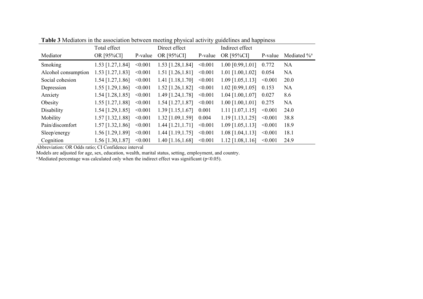|                     | Total effect        | Direct effect |                     | Indirect effect |                       |         |                            |
|---------------------|---------------------|---------------|---------------------|-----------------|-----------------------|---------|----------------------------|
| Mediator            | OR [95%CI]          | P-value       | OR [95%CI]          | P-value         | OR [95%CI]            | P-value | Mediated $\%$ <sup>a</sup> |
| Smoking             | 1.53 [1.27, 1.84]   | < 0.001       | 1.53 [1.28, 1.84]   | < 0.001         | $1.00$ [0.99,1.01]    | 0.772   | <b>NA</b>                  |
| Alcohol consumption | $1.53$ [1.27, 1.83] | < 0.001       | $1.51$ [1.26,1.81]  | < 0.001         | $1.01$ [1.00,1.02]    | 0.054   | <b>NA</b>                  |
| Social cohesion     | $1.54$ [1.27, 1.86] | < 0.001       | $1.41$ [1.18,1.70]  | < 0.001         | $1.09$ [1.05, 1.13]   | < 0.001 | 20.0                       |
| Depression          | $1.55$ [1.29,1.86]  | < 0.001       | $1.52$ [1.26,1.82]  | < 0.001         | $1.02$ [0.99,1.05]    | 0.153   | <b>NA</b>                  |
| Anxiety             | $1.54$ [1.28, 1.85] | < 0.001       | 1.49 [1.24,1.78]    | < 0.001         | $1.04$ [1.00,1.07]    | 0.027   | 8.6                        |
| Obesity             | $1.55$ [1.27, 1.88] | < 0.001       | $1.54$ [1.27, 1.87] | < 0.001         | $1.00$ [1.00,1.01]    | 0.275   | <b>NA</b>                  |
| Disability          | $1.54$ [1.29, 1.85] | < 0.001       | $1.39$ [1.15,1.67]  | 0.001           | $1.11$ $[1.07, 1.15]$ | < 0.001 | 24.0                       |
| Mobility            | $1.57$ [1.32, 1.88] | < 0.001       | 1.32 [1.09, 1.59]   | 0.004           | $1.19$ [1.13, 1.25]   | < 0.001 | 38.8                       |
| Pain/discomfort     | $1.57$ [1.32, 1.86] | < 0.001       | $1.44$ [1.21,1.71]  | < 0.001         | $1.09$ [1.05, 1.13]   | < 0.001 | 18.9                       |
| Sleep/energy        | 1.56 [1.29, 1.89]   | < 0.001       | $1.44$ [1.19,1.75]  | < 0.001         | $1.08$ [1.04,1.13]    | < 0.001 | 18.1                       |
| Cognition           | 1.56 [1.30, 1.87]   | < 0.001       | $1.40$ [1.16,1.68]  | < 0.001         | $1.12$ [1.08,1.16]    | < 0.001 | 24.9                       |

**Table 3** Mediators in the association between meeting physical activity guidelines and happiness

Abbreviation: OR Odds ratio; CI Confidence interval

Models are adjusted for age, sex, education, wealth, marital status, setting, employment, and country.

<sup>a</sup>Mediated percentage was calculated only when the indirect effect was significant (p<0.05).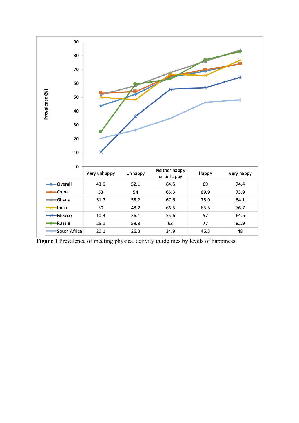

**Figure 1** Prevalence of meeting physical activity guidelines by levels of happiness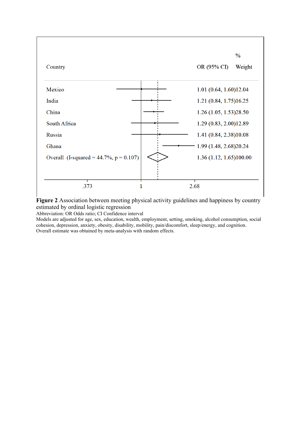

**Figure 2** Association between meeting physical activity guidelines and happiness by country estimated by ordinal logistic regression

Abbreviation: OR Odds ratio; CI Confidence interval

Models are adjusted for age, sex, education, wealth, employment, setting, smoking, alcohol consumption, social cohesion, depression, anxiety, obesity, disability, mobility, pain/discomfort, sleep/energy, and cognition. Overall estimate was obtained by meta-analysis with random effects.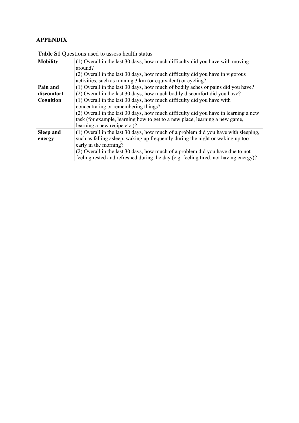# **APPENDIX**

| <b>Mobility</b> | (1) Overall in the last 30 days, how much difficulty did you have with moving        |
|-----------------|--------------------------------------------------------------------------------------|
|                 | around?                                                                              |
|                 | (2) Overall in the last 30 days, how much difficulty did you have in vigorous        |
|                 | activities, such as running 3 km (or equivalent) or cycling?                         |
| Pain and        | (1) Overall in the last 30 days, how much of bodily aches or pains did you have?     |
| discomfort      | (2) Overall in the last 30 days, how much bodily discomfort did you have?            |
| Cognition       | (1) Overall in the last 30 days, how much difficulty did you have with               |
|                 | concentrating or remembering things?                                                 |
|                 | (2) Overall in the last 30 days, how much difficulty did you have in learning a new  |
|                 | task (for example, learning how to get to a new place, learning a new game,          |
|                 | learning a new recipe etc.)?                                                         |
| Sleep and       | (1) Overall in the last 30 days, how much of a problem did you have with sleeping,   |
| energy          | such as falling asleep, waking up frequently during the night or waking up too       |
|                 | early in the morning?                                                                |
|                 | (2) Overall in the last 30 days, how much of a problem did you have due to not       |
|                 | feeling rested and refreshed during the day (e.g. feeling tired, not having energy)? |

**Table S1** Questions used to assess health status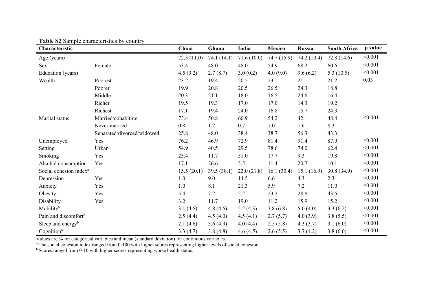| Characteristic                     |                            | China      | Ghana       | India      | Mexico      | Russia      | <b>South Africa</b> | p value |
|------------------------------------|----------------------------|------------|-------------|------------|-------------|-------------|---------------------|---------|
| Age (years)                        |                            | 72.3(11.0) | 74.1 (14.1) | 71.6(10.0) | 74.7 (15.9) | 74.2 (10.4) | 72.8(14.6)          | < 0.001 |
| <b>Sex</b>                         | Female                     | 53.4       | 48.0        | 48.0       | 54.9        | 68.2        | 60.6                | < 0.001 |
| Education (years)                  |                            | 4.5(9.2)   | 2.7(8.7)    | 3.0(0.2)   | 4.0(9.0)    | 9.6(6.2)    | 5.3 $(10.5)$        | < 0.001 |
| Wealth                             | Poorest                    | 23.2       | 19.4        | 20.5       | 23.1        | 21.1        | 21.2                | 0.03    |
|                                    | Poorer                     | 19.9       | 20.8        | 20.5       | 26.5        | 24.3        | 18.8                |         |
|                                    | Middle                     | 20.3       | 21.1        | 18.0       | 16.5        | 24.6        | 16.4                |         |
|                                    | Richer                     | 19.5       | 19.3        | 17.0       | 17.0        | 14.3        | 19.2                |         |
|                                    | Richest                    | 17.1       | 19.4        | 24.0       | 16.8        | 15.7        | 24.3                |         |
| Marital status                     | Married/cohabiting         | 73.4       | 50.8        | 60.9       | 54.2        | 42.1        | 48.4                | < 0.001 |
|                                    | Never married              | 0.8        | 1.2         | 0.7        | 7.0         | 1.6         | 8.3                 |         |
|                                    | Separated/divorced/widowed | 25.8       | 48.0        | 38.4       | 38.7        | 56.3        | 43.3                |         |
| Unemployed                         | Yes                        | 76.2       | 46.9        | 72.9       | 81.4        | 91.4        | 87.9                | < 0.001 |
| Setting                            | Urban                      | 54.9       | 40.5        | 29.5       | 78.6        | 74.0        | 62.4                | < 0.001 |
| Smoking                            | Yes                        | 23.4       | 11.7        | 51.0       | 17.7        | 9.3         | 19.8                | < 0.001 |
| Alcohol consumption                | Yes                        | 17.1       | 26.6        | 5.5        | 11.4        | 20.7        | 10.1                | < 0.001 |
| Social cohesion index <sup>a</sup> |                            | 15.5(20.1) | 39.5(38.1)  | 22.0(21.8) | 16.1(30.4)  | 15.1(16.9)  | 30.8(34.9)          | < 0.001 |
| Depression                         | Yes                        | 1.0        | 9.0         | 14.5       | 6.6         | 4.3         | 2.3                 | < 0.001 |
| Anxiety                            | Yes                        | 1.0        | 8.1         | 21.3       | 5.9         | 7.2         | 11.0                | < 0.001 |
| Obesity                            | Yes                        | 5.4        | 7.2         | $2.2\,$    | 23.2        | 28.8        | 43.5                | < 0.001 |
| Disability                         | Yes                        | 3.2        | 11.7        | 19.0       | 11.2        | 15.9        | 15.2                | < 0.001 |
| Mobility <sup>b</sup>              |                            | 3.1(4.5)   | 4.8(4.6)    | 5.2(4.3)   | 3.8(6.8)    | 5.0(4.0)    | 3.3(6.2)            | < 0.001 |
| Pain and discomfort <sup>b</sup>   |                            | 2.5(4.4)   | 4.5(4.0)    | 4.5(4.1)   | 2.7(5.7)    | 4.0(3.9)    | 3.8(5.5)            | < 0.001 |
| Sleep and energy <sup>b</sup>      |                            | 2.1(4.6)   | 3.6(4.9)    | 4.0(4.4)   | 2.5(5.8)    | 4.3(3.7)    | 3.1(6.0)            | < 0.001 |
| Cognition <sup>b</sup>             |                            | 3.3(4.7)   | 3.8(4.8)    | 4.6(4.5)   | 2.6(5.5)    | 3.7(4.2)    | 3.8(6.0)            | < 0.001 |

**Table S2** Sample characteristics by country

Values are % for categorical variables and mean (standard deviation) for continuous variables.

<sup>a</sup> The social cohesion index ranged from 0-100 with higher scores representing higher levels of social cohesion.

<sup>b</sup> Scores ranged from 0-10 with higher scores representing worse health status.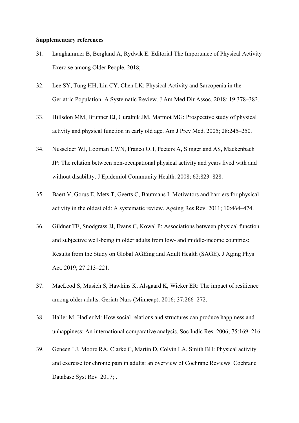### **Supplementary references**

- 31. Langhammer B, Bergland A, Rydwik E: Editorial The Importance of Physical Activity Exercise among Older People. 2018; .
- 32. Lee SY, Tung HH, Liu CY, Chen LK: Physical Activity and Sarcopenia in the Geriatric Population: A Systematic Review. J Am Med Dir Assoc. 2018; 19:378–383.
- 33. Hillsdon MM, Brunner EJ, Guralnik JM, Marmot MG: Prospective study of physical activity and physical function in early old age. Am J Prev Med. 2005; 28:245–250.
- 34. Nusselder WJ, Looman CWN, Franco OH, Peeters A, Slingerland AS, Mackenbach JP: The relation between non-occupational physical activity and years lived with and without disability. J Epidemiol Community Health. 2008; 62:823–828.
- 35. Baert V, Gorus E, Mets T, Geerts C, Bautmans I: Motivators and barriers for physical activity in the oldest old: A systematic review. Ageing Res Rev. 2011; 10:464–474.
- 36. Gildner TE, Snodgrass JJ, Evans C, Kowal P: Associations between physical function and subjective well-being in older adults from low- and middle-income countries: Results from the Study on Global AGEing and Adult Health (SAGE). J Aging Phys Act. 2019; 27:213–221.
- 37. MacLeod S, Musich S, Hawkins K, Alsgaard K, Wicker ER: The impact of resilience among older adults. Geriatr Nurs (Minneap). 2016; 37:266–272.
- 38. Haller M, Hadler M: How social relations and structures can produce happiness and unhappiness: An international comparative analysis. Soc Indic Res. 2006; 75:169–216.
- 39. Geneen LJ, Moore RA, Clarke C, Martin D, Colvin LA, Smith BH: Physical activity and exercise for chronic pain in adults: an overview of Cochrane Reviews. Cochrane Database Syst Rev. 2017; .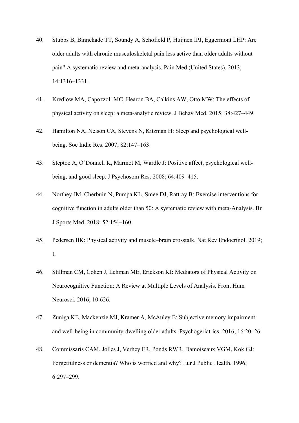- 40. Stubbs B, Binnekade TT, Soundy A, Schofield P, Huijnen IPJ, Eggermont LHP: Are older adults with chronic musculoskeletal pain less active than older adults without pain? A systematic review and meta-analysis. Pain Med (United States). 2013; 14:1316–1331.
- 41. Kredlow MA, Capozzoli MC, Hearon BA, Calkins AW, Otto MW: The effects of physical activity on sleep: a meta-analytic review. J Behav Med. 2015; 38:427–449.
- 42. Hamilton NA, Nelson CA, Stevens N, Kitzman H: Sleep and psychological wellbeing. Soc Indic Res. 2007; 82:147–163.
- 43. Steptoe A, O'Donnell K, Marmot M, Wardle J: Positive affect, psychological wellbeing, and good sleep. J Psychosom Res. 2008; 64:409–415.
- 44. Northey JM, Cherbuin N, Pumpa KL, Smee DJ, Rattray B: Exercise interventions for cognitive function in adults older than 50: A systematic review with meta-Analysis. Br J Sports Med. 2018; 52:154–160.
- 45. Pedersen BK: Physical activity and muscle–brain crosstalk. Nat Rev Endocrinol. 2019; 1.
- 46. Stillman CM, Cohen J, Lehman ME, Erickson KI: Mediators of Physical Activity on Neurocognitive Function: A Review at Multiple Levels of Analysis. Front Hum Neurosci. 2016; 10:626.
- 47. Zuniga KE, Mackenzie MJ, Kramer A, McAuley E: Subjective memory impairment and well-being in community-dwelling older adults. Psychogeriatrics. 2016; 16:20–26.
- 48. Commissaris CAM, Jolles J, Verhey FR, Ponds RWR, Damoiseaux VGM, Kok GJ: Forgetfulness or dementia? Who is worried and why? Eur J Public Health. 1996; 6:297–299.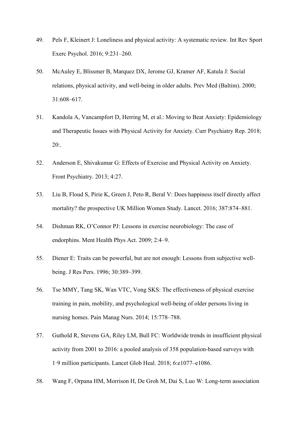- 49. Pels F, Kleinert J: Loneliness and physical activity: A systematic review. Int Rev Sport Exerc Psychol. 2016; 9:231–260.
- 50. McAuley E, Blissmer B, Marquez DX, Jerome GJ, Kramer AF, Katula J: Social relations, physical activity, and well-being in older adults. Prev Med (Baltim). 2000; 31:608–617.
- 51. Kandola A, Vancampfort D, Herring M, et al.: Moving to Beat Anxiety: Epidemiology and Therapeutic Issues with Physical Activity for Anxiety. Curr Psychiatry Rep. 2018; 20:.
- 52. Anderson E, Shivakumar G: Effects of Exercise and Physical Activity on Anxiety. Front Psychiatry. 2013; 4:27.
- 53. Liu B, Floud S, Pirie K, Green J, Peto R, Beral V: Does happiness itself directly affect mortality? the prospective UK Million Women Study. Lancet. 2016; 387:874–881.
- 54. Dishman RK, O'Connor PJ: Lessons in exercise neurobiology: The case of endorphins. Ment Health Phys Act. 2009; 2:4–9.
- 55. Diener E: Traits can be powerful, but are not enough: Lessons from subjective wellbeing. J Res Pers. 1996; 30:389–399.
- 56. Tse MMY, Tang SK, Wan VTC, Vong SKS: The effectiveness of physical exercise training in pain, mobility, and psychological well-being of older persons living in nursing homes. Pain Manag Nurs. 2014; 15:778–788.
- 57. Guthold R, Stevens GA, Riley LM, Bull FC: Worldwide trends in insufficient physical activity from 2001 to 2016: a pooled analysis of 358 population-based surveys with 1·9 million participants. Lancet Glob Heal. 2018; 6:e1077–e1086.
- 58. Wang F, Orpana HM, Morrison H, De Groh M, Dai S, Luo W: Long-term association